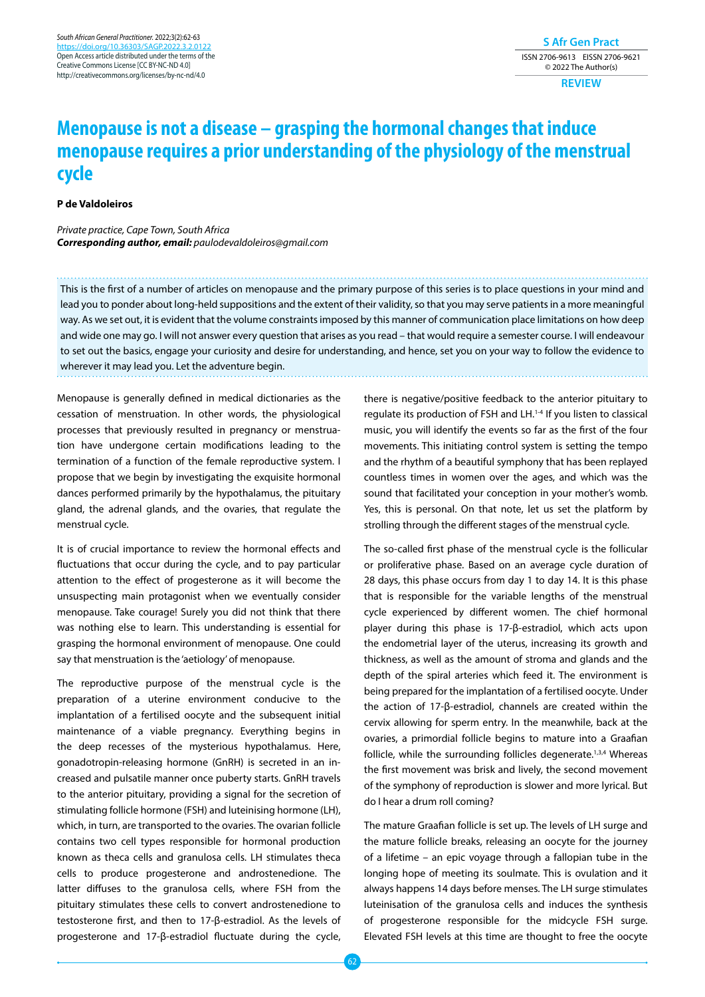**S Afr Gen Pract** ISSN 2706-9613 EISSN 2706-9621 © 2022 The Author(s)

**REVIEW**

## **Menopause is not a disease – grasping the hormonal changes that induce menopause requires a prior understanding of the physiology of the menstrual cycle**

## **P de Valdoleiros**

*Private practice, Cape Town, South Africa Corresponding author, email: paulodevaldoleiros@gmail.com*

This is the first of a number of articles on menopause and the primary purpose of this series is to place questions in your mind and lead you to ponder about long-held suppositions and the extent of their validity, so that you may serve patients in a more meaningful way. As we set out, it is evident that the volume constraints imposed by this manner of communication place limitations on how deep and wide one may go. I will not answer every question that arises as you read – that would require a semester course. I will endeavour to set out the basics, engage your curiosity and desire for understanding, and hence, set you on your way to follow the evidence to wherever it may lead you. Let the adventure begin.

Menopause is generally defined in medical dictionaries as the cessation of menstruation. In other words, the physiological processes that previously resulted in pregnancy or menstruation have undergone certain modifications leading to the termination of a function of the female reproductive system. I propose that we begin by investigating the exquisite hormonal dances performed primarily by the hypothalamus, the pituitary gland, the adrenal glands, and the ovaries, that regulate the menstrual cycle.

It is of crucial importance to review the hormonal effects and fluctuations that occur during the cycle, and to pay particular attention to the effect of progesterone as it will become the unsuspecting main protagonist when we eventually consider menopause. Take courage! Surely you did not think that there was nothing else to learn. This understanding is essential for grasping the hormonal environment of menopause. One could say that menstruation is the 'aetiology' of menopause.

The reproductive purpose of the menstrual cycle is the preparation of a uterine environment conducive to the implantation of a fertilised oocyte and the subsequent initial maintenance of a viable pregnancy. Everything begins in the deep recesses of the mysterious hypothalamus. Here, gonadotropin-releasing hormone (GnRH) is secreted in an increased and pulsatile manner once puberty starts. GnRH travels to the anterior pituitary, providing a signal for the secretion of stimulating follicle hormone (FSH) and luteinising hormone (LH), which, in turn, are transported to the ovaries. The ovarian follicle contains two cell types responsible for hormonal production known as theca cells and granulosa cells. LH stimulates theca cells to produce progesterone and androstenedione. The latter diffuses to the granulosa cells, where FSH from the pituitary stimulates these cells to convert androstenedione to testosterone first, and then to 17-β-estradiol. As the levels of progesterone and 17-β-estradiol fluctuate during the cycle,

there is negative/positive feedback to the anterior pituitary to regulate its production of FSH and LH.1-4 If you listen to classical music, you will identify the events so far as the first of the four movements. This initiating control system is setting the tempo and the rhythm of a beautiful symphony that has been replayed countless times in women over the ages, and which was the sound that facilitated your conception in your mother's womb. Yes, this is personal. On that note, let us set the platform by strolling through the different stages of the menstrual cycle.

The so-called first phase of the menstrual cycle is the follicular or proliferative phase. Based on an average cycle duration of 28 days, this phase occurs from day 1 to day 14. It is this phase that is responsible for the variable lengths of the menstrual cycle experienced by different women. The chief hormonal player during this phase is 17-β-estradiol, which acts upon the endometrial layer of the uterus, increasing its growth and thickness, as well as the amount of stroma and glands and the depth of the spiral arteries which feed it. The environment is being prepared for the implantation of a fertilised oocyte. Under the action of 17-β-estradiol, channels are created within the cervix allowing for sperm entry. In the meanwhile, back at the ovaries, a primordial follicle begins to mature into a Graafian follicle, while the surrounding follicles degenerate.<sup>1,3,4</sup> Whereas the first movement was brisk and lively, the second movement of the symphony of reproduction is slower and more lyrical. But do I hear a drum roll coming?

The mature Graafian follicle is set up. The levels of LH surge and the mature follicle breaks, releasing an oocyte for the journey of a lifetime – an epic voyage through a fallopian tube in the longing hope of meeting its soulmate. This is ovulation and it always happens 14 days before menses. The LH surge stimulates luteinisation of the granulosa cells and induces the synthesis of progesterone responsible for the midcycle FSH surge. Elevated FSH levels at this time are thought to free the oocyte